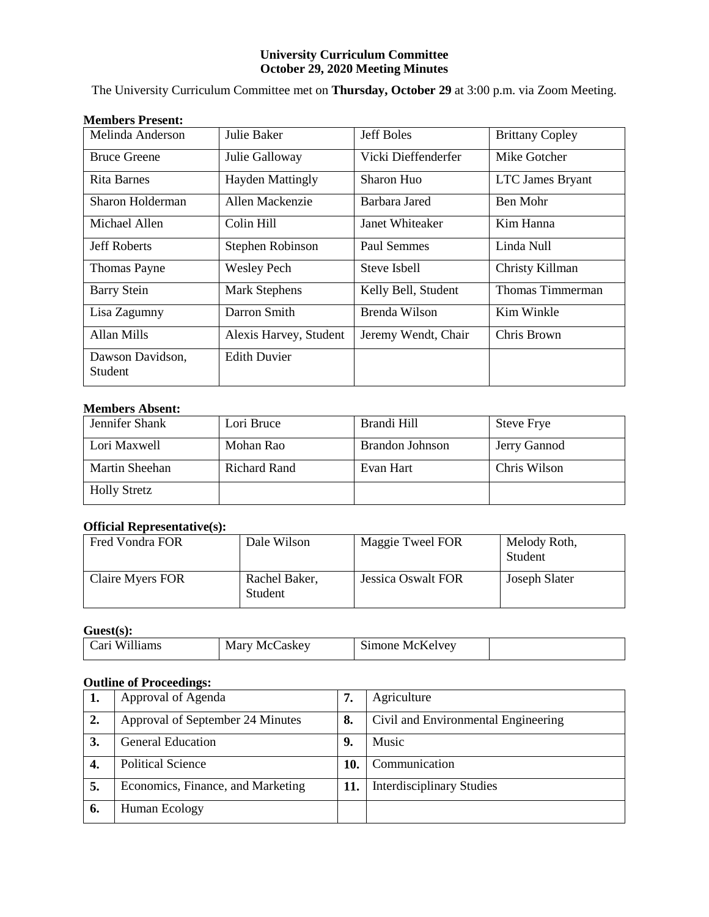# **University Curriculum Committee October 29, 2020 Meeting Minutes**

The University Curriculum Committee met on **Thursday, October 29** at 3:00 p.m. via Zoom Meeting.

| Melinda Anderson                   | Julie Baker             | Jeff Boles          | <b>Brittany Copley</b>  |
|------------------------------------|-------------------------|---------------------|-------------------------|
| <b>Bruce Greene</b>                | Julie Galloway          | Vicki Dieffenderfer | Mike Gotcher            |
| <b>Rita Barnes</b>                 | <b>Hayden Mattingly</b> | Sharon Huo          | <b>LTC James Bryant</b> |
| Sharon Holderman                   | Allen Mackenzie         | Barbara Jared       | Ben Mohr                |
| Michael Allen                      | Colin Hill              | Janet Whiteaker     | Kim Hanna               |
| <b>Jeff Roberts</b>                | Stephen Robinson        | Paul Semmes         | Linda Null              |
| <b>Thomas Payne</b>                | <b>Wesley Pech</b>      | Steve Isbell        | Christy Killman         |
| <b>Barry Stein</b>                 | <b>Mark Stephens</b>    | Kelly Bell, Student | Thomas Timmerman        |
| Lisa Zagumny                       | Darron Smith            | Brenda Wilson       | Kim Winkle              |
| Allan Mills                        | Alexis Harvey, Student  | Jeremy Wendt, Chair | Chris Brown             |
| Dawson Davidson,<br><b>Student</b> | <b>Edith Duvier</b>     |                     |                         |

# **Members Absent:**

| Jennifer Shank      | Lori Bruce   | Brandi Hill     | <b>Steve Frye</b> |
|---------------------|--------------|-----------------|-------------------|
| Lori Maxwell        | Mohan Rao    | Brandon Johnson | Jerry Gannod      |
| Martin Sheehan      | Richard Rand | Evan Hart       | Chris Wilson      |
| <b>Holly Stretz</b> |              |                 |                   |

# **Official Representative(s):**

| Fred Vondra FOR         | Dale Wilson              | Maggie Tweel FOR          | Melody Roth,<br>Student |
|-------------------------|--------------------------|---------------------------|-------------------------|
| <b>Claire Myers FOR</b> | Rachel Baker,<br>Student | <b>Jessica Oswalt FOR</b> | Joseph Slater           |

**Guest(s):**

| Williams | Marv   | $\sim$   |  |
|----------|--------|----------|--|
| . arı    | ∠askev | McKelvey |  |
|          | McC    | simone   |  |

# **Outline of Proceedings:**

| 1. | Approval of Agenda                | 7.  | Agriculture                         |
|----|-----------------------------------|-----|-------------------------------------|
| 2. | Approval of September 24 Minutes  | 8.  | Civil and Environmental Engineering |
| 3. | <b>General Education</b>          | 9.  | Music                               |
| 4. | <b>Political Science</b>          | 10. | Communication                       |
| 5. | Economics, Finance, and Marketing | 11. | <b>Interdisciplinary Studies</b>    |
| 6. | Human Ecology                     |     |                                     |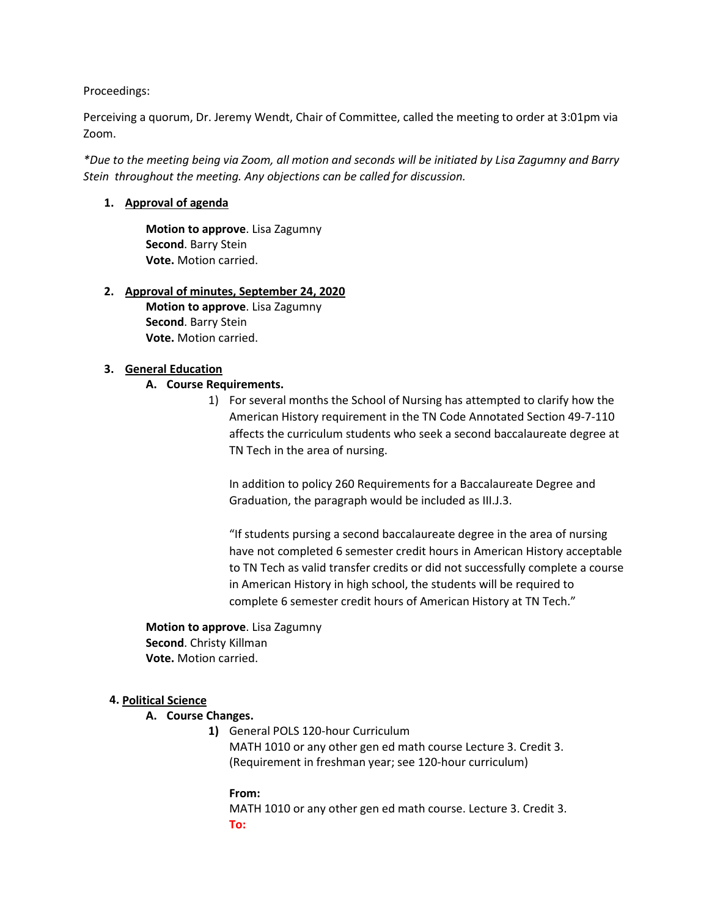Proceedings:

Perceiving a quorum, Dr. Jeremy Wendt, Chair of Committee, called the meeting to order at 3:01pm via Zoom.

*\*Due to the meeting being via Zoom, all motion and seconds will be initiated by Lisa Zagumny and Barry Stein throughout the meeting. Any objections can be called for discussion.* 

## **1. Approval of agenda**

**Motion to approve**. Lisa Zagumny **Second**. Barry Stein **Vote.** Motion carried.

#### **2. Approval of minutes, September 24, 2020**

**Motion to approve**. Lisa Zagumny **Second**. Barry Stein **Vote.** Motion carried.

### **3. General Education**

### **A. Course Requirements.**

1) For several months the School of Nursing has attempted to clarify how the American History requirement in the TN Code Annotated Section 49-7-110 affects the curriculum students who seek a second baccalaureate degree at TN Tech in the area of nursing.

In addition to policy 260 Requirements for a Baccalaureate Degree and Graduation, the paragraph would be included as III.J.3.

"If students pursing a second baccalaureate degree in the area of nursing have not completed 6 semester credit hours in American History acceptable to TN Tech as valid transfer credits or did not successfully complete a course in American History in high school, the students will be required to complete 6 semester credit hours of American History at TN Tech."

**Motion to approve**. Lisa Zagumny **Second**. Christy Killman **Vote.** Motion carried.

#### **4. Political Science**

# **A. Course Changes.**

**1)** General POLS 120-hour Curriculum MATH 1010 or any other gen ed math course Lecture 3. Credit 3. (Requirement in freshman year; see 120-hour curriculum)

#### **From:** MATH 1010 or any other gen ed math course. Lecture 3. Credit 3. **To:**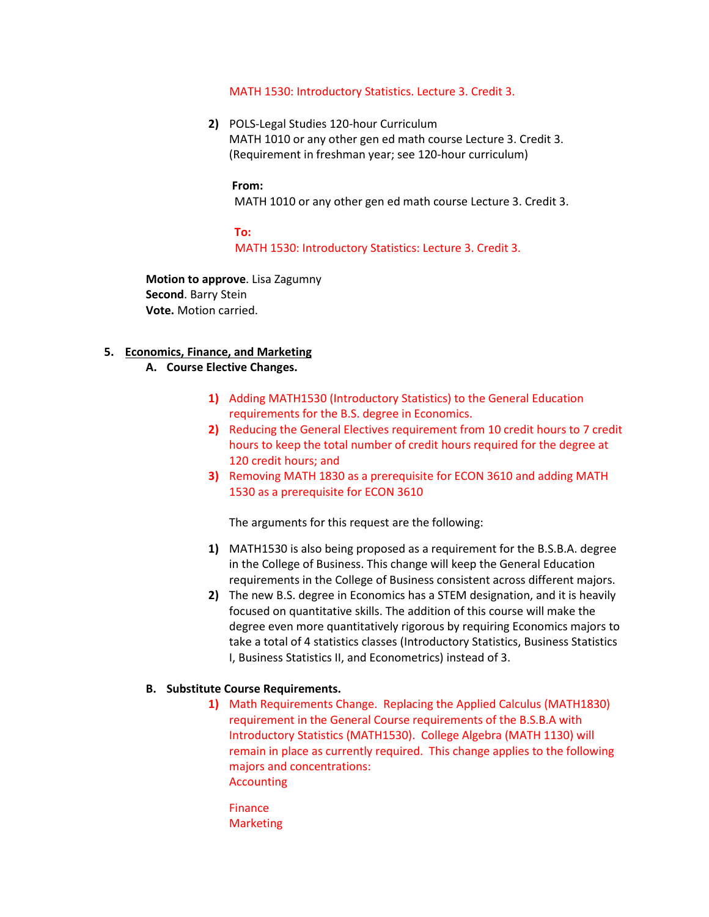#### MATH 1530: Introductory Statistics. Lecture 3. Credit 3.

**2)** POLS-Legal Studies 120-hour Curriculum MATH 1010 or any other gen ed math course Lecture 3. Credit 3. (Requirement in freshman year; see 120-hour curriculum)

#### **From:**

MATH 1010 or any other gen ed math course Lecture 3. Credit 3.

# **To:**

MATH 1530: Introductory Statistics: Lecture 3. Credit 3.

**Motion to approve**. Lisa Zagumny **Second**. Barry Stein **Vote.** Motion carried.

#### **5. Economics, Finance, and Marketing**

#### **A. Course Elective Changes.**

- **1)** Adding MATH1530 (Introductory Statistics) to the General Education requirements for the B.S. degree in Economics.
- **2)** Reducing the General Electives requirement from 10 credit hours to 7 credit hours to keep the total number of credit hours required for the degree at 120 credit hours; and
- **3)** Removing MATH 1830 as a prerequisite for ECON 3610 and adding MATH 1530 as a prerequisite for ECON 3610

The arguments for this request are the following:

- **1)** MATH1530 is also being proposed as a requirement for the B.S.B.A. degree in the College of Business. This change will keep the General Education requirements in the College of Business consistent across different majors.
- **2)** The new B.S. degree in Economics has a STEM designation, and it is heavily focused on quantitative skills. The addition of this course will make the degree even more quantitatively rigorous by requiring Economics majors to take a total of 4 statistics classes (Introductory Statistics, Business Statistics I, Business Statistics II, and Econometrics) instead of 3.

#### **B. Substitute Course Requirements.**

- **1)** Math Requirements Change. Replacing the Applied Calculus (MATH1830) requirement in the General Course requirements of the B.S.B.A with Introductory Statistics (MATH1530). College Algebra (MATH 1130) will remain in place as currently required. This change applies to the following majors and concentrations: Accounting
	- Finance **Marketing**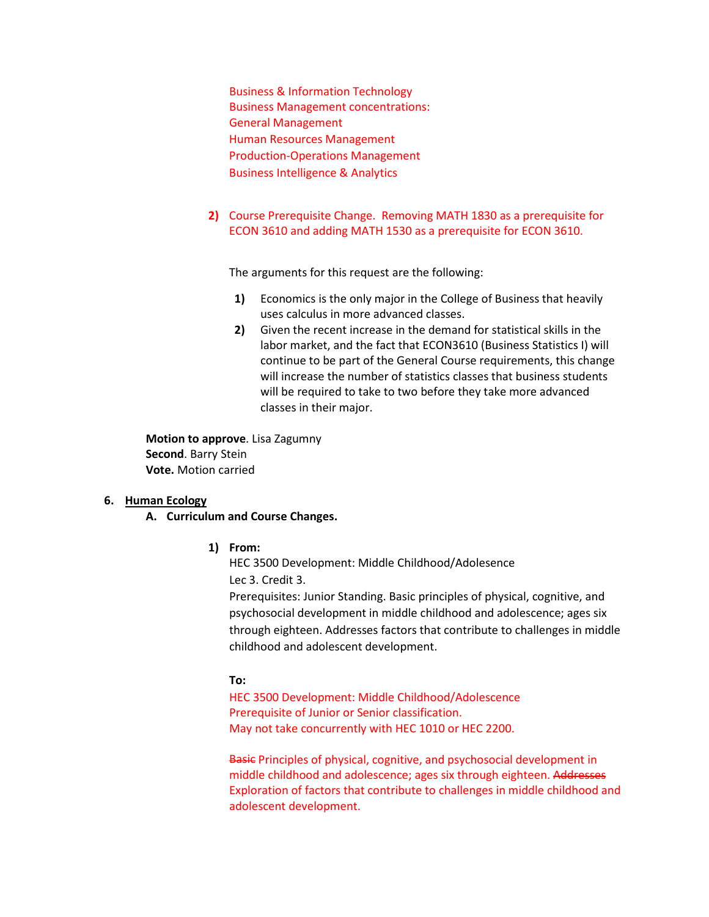Business & Information Technology Business Management concentrations: General Management Human Resources Management Production-Operations Management Business Intelligence & Analytics

**2)** Course Prerequisite Change. Removing MATH 1830 as a prerequisite for ECON 3610 and adding MATH 1530 as a prerequisite for ECON 3610.

The arguments for this request are the following:

- **1)** Economics is the only major in the College of Business that heavily uses calculus in more advanced classes.
- **2)** Given the recent increase in the demand for statistical skills in the labor market, and the fact that ECON3610 (Business Statistics I) will continue to be part of the General Course requirements, this change will increase the number of statistics classes that business students will be required to take to two before they take more advanced classes in their major.

**Motion to approve**. Lisa Zagumny **Second**. Barry Stein **Vote.** Motion carried

#### **6. Human Ecology**

- **A. Curriculum and Course Changes.** 
	- **1) From:**

HEC 3500 Development: Middle Childhood/Adolesence Lec 3. Credit 3.

Prerequisites: Junior Standing. Basic principles of physical, cognitive, and psychosocial development in middle childhood and adolescence; ages six through eighteen. Addresses factors that contribute to challenges in middle childhood and adolescent development.

# **To:**

HEC 3500 Development: Middle Childhood/Adolescence Prerequisite of Junior or Senior classification. May not take concurrently with HEC 1010 or HEC 2200.

Basic Principles of physical, cognitive, and psychosocial development in middle childhood and adolescence; ages six through eighteen. Addresses Exploration of factors that contribute to challenges in middle childhood and adolescent development.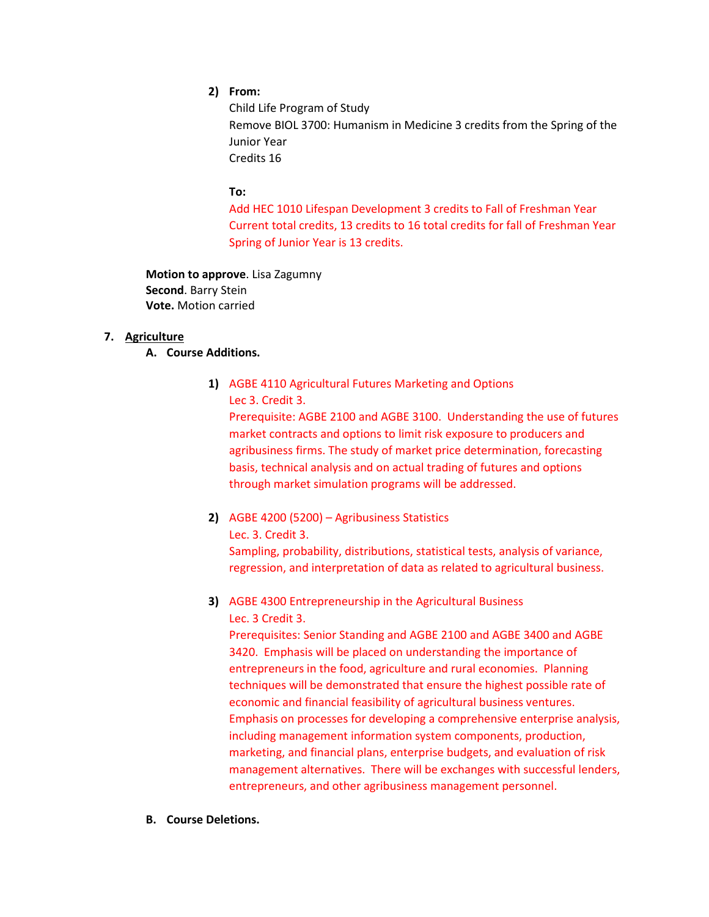# **2) From:**

Child Life Program of Study Remove BIOL 3700: Humanism in Medicine 3 credits from the Spring of the Junior Year Credits 16

## **To:**

Add HEC 1010 Lifespan Development 3 credits to Fall of Freshman Year Current total credits, 13 credits to 16 total credits for fall of Freshman Year Spring of Junior Year is 13 credits.

**Motion to approve**. Lisa Zagumny **Second**. Barry Stein **Vote.** Motion carried

# **7. Agriculture**

# **A. Course Additions.**

**1)** AGBE 4110 Agricultural Futures Marketing and Options Lec 3. Credit 3.

Prerequisite: AGBE 2100 and AGBE 3100. Understanding the use of futures market contracts and options to limit risk exposure to producers and agribusiness firms. The study of market price determination, forecasting basis, technical analysis and on actual trading of futures and options through market simulation programs will be addressed.

**2)** AGBE 4200 (5200) – Agribusiness Statistics Lec. 3. Credit 3.

Sampling, probability, distributions, statistical tests, analysis of variance, regression, and interpretation of data as related to agricultural business.

**3)** AGBE 4300 Entrepreneurship in the Agricultural Business Lec. 3 Credit 3.

Prerequisites: Senior Standing and AGBE 2100 and AGBE 3400 and AGBE 3420. Emphasis will be placed on understanding the importance of entrepreneurs in the food, agriculture and rural economies. Planning techniques will be demonstrated that ensure the highest possible rate of economic and financial feasibility of agricultural business ventures. Emphasis on processes for developing a comprehensive enterprise analysis, including management information system components, production, marketing, and financial plans, enterprise budgets, and evaluation of risk management alternatives. There will be exchanges with successful lenders, entrepreneurs, and other agribusiness management personnel.

**B. Course Deletions.**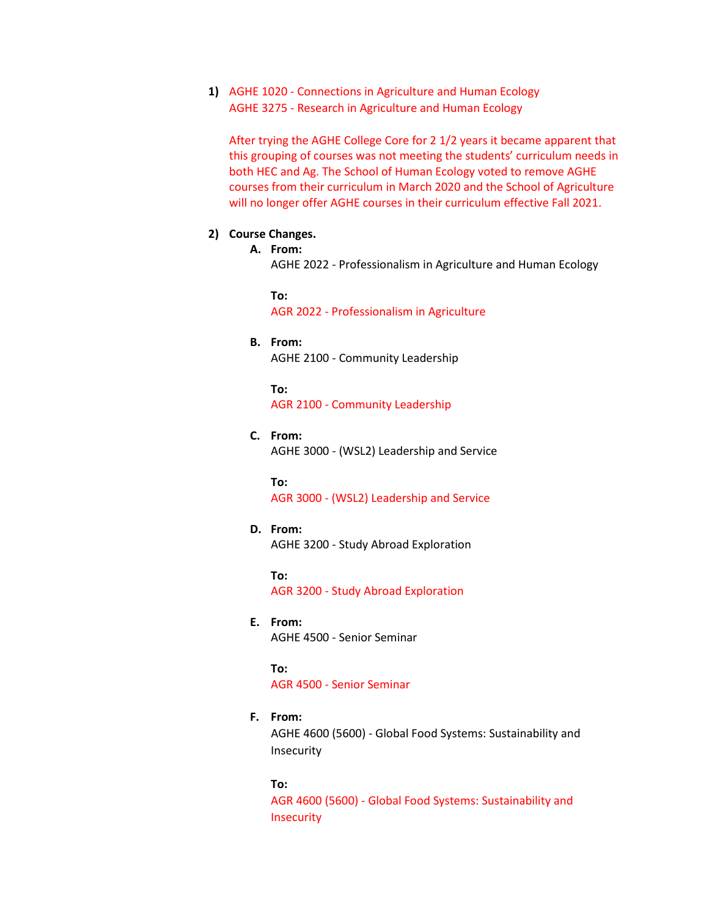**1)** AGHE 1020 - Connections in Agriculture and Human Ecology AGHE 3275 - Research in Agriculture and Human Ecology

After trying the AGHE College Core for 2 1/2 years it became apparent that this grouping of courses was not meeting the students' curriculum needs in both HEC and Ag. The School of Human Ecology voted to remove AGHE courses from their curriculum in March 2020 and the School of Agriculture will no longer offer AGHE courses in their curriculum effective Fall 2021.

### **2) Course Changes.**

#### **A. From:**

AGHE 2022 - Professionalism in Agriculture and Human Ecology

**To:** AGR 2022 - Professionalism in Agriculture

#### **B. From:**

AGHE 2100 - Community Leadership

#### **To:**

AGR 2100 - Community Leadership

#### **C. From:**

AGHE 3000 - (WSL2) Leadership and Service

#### **To:**

AGR 3000 - (WSL2) Leadership and Service

#### **D. From:**

AGHE 3200 - Study Abroad Exploration

**To:** AGR 3200 - Study Abroad Exploration

### **E. From:**

AGHE 4500 - Senior Seminar

#### **To:**

AGR 4500 - Senior Seminar

#### **F. From:**

AGHE 4600 (5600) - Global Food Systems: Sustainability and Insecurity

#### **To:**

AGR 4600 (5600) - Global Food Systems: Sustainability and **Insecurity**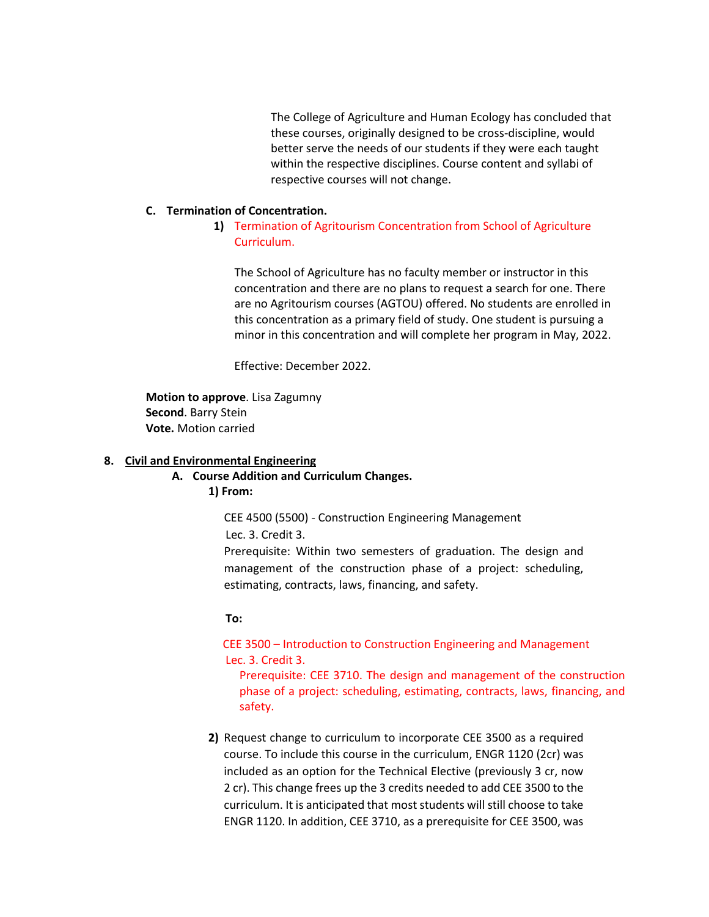The College of Agriculture and Human Ecology has concluded that these courses, originally designed to be cross-discipline, would better serve the needs of our students if they were each taught within the respective disciplines. Course content and syllabi of respective courses will not change.

### **C. Termination of Concentration.**

# **1)** Termination of Agritourism Concentration from School of Agriculture Curriculum.

The School of Agriculture has no faculty member or instructor in this concentration and there are no plans to request a search for one. There are no Agritourism courses (AGTOU) offered. No students are enrolled in this concentration as a primary field of study. One student is pursuing a minor in this concentration and will complete her program in May, 2022.

Effective: December 2022.

**Motion to approve**. Lisa Zagumny **Second**. Barry Stein **Vote.** Motion carried

#### **8. Civil and Environmental Engineering**

**A. Course Addition and Curriculum Changes.** 

**1) From:**

CEE 4500 (5500) - Construction Engineering Management Lec. 3. Credit 3.

Prerequisite: Within two semesters of graduation. The design and management of the construction phase of a project: scheduling, estimating, contracts, laws, financing, and safety.

#### **To:**

 CEE 3500 – Introduction to Construction Engineering and Management Lec. 3. Credit 3.

Prerequisite: CEE 3710. The design and management of the construction phase of a project: scheduling, estimating, contracts, laws, financing, and safety.

**2)** Request change to curriculum to incorporate CEE 3500 as a required course. To include this course in the curriculum, ENGR 1120 (2cr) was included as an option for the Technical Elective (previously 3 cr, now 2 cr). This change frees up the 3 credits needed to add CEE 3500 to the curriculum. It is anticipated that most students will still choose to take ENGR 1120. In addition, CEE 3710, as a prerequisite for CEE 3500, was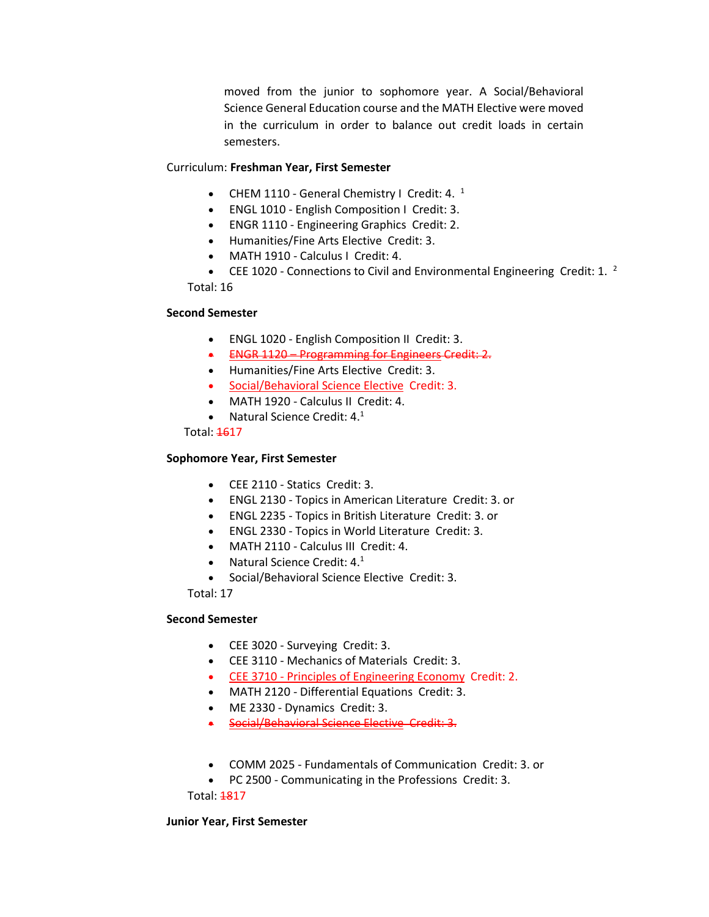moved from the junior to sophomore year. A Social/Behavioral Science General Education course and the MATH Elective were moved in the curriculum in order to balance out credit loads in certain semesters.

### Curriculum: **Freshman Year, First Semester**

- CHEM 1110 General Chemistry I Credit: 4.  $<sup>1</sup>$ </sup>
- ENGL 1010 English Composition I Credit: 3.
- ENGR 1110 Engineering Graphics Credit: 2.
- Humanities/Fine Arts Elective Credit: 3.
- MATH 1910 Calculus I Credit: 4.
- CEE 1020 Connections to Civil and Environmental Engineering Credit: 1.  $^2$ Total: 16

## **Second Semester**

- ENGL 1020 English Composition II Credit: 3.
- ENGR 1120 Programming for Engineers Credit: 2.
- Humanities/Fine Arts Elective Credit: 3.
- [Social/Behavioral Science Elective](http://catalog.tntech.edu/content.php?catoid=27&navoid=5438#Social_Behavioral_Sciences) Credit: 3.
- MATH 1920 Calculus II Credit: 4.
- Natural Science Credit: 4.<sup>1</sup>

Total: 4617

# **Sophomore Year, First Semester**

- CEE 2110 Statics Credit: 3.
- ENGL 2130 Topics in American Literature Credit: 3. or
- ENGL 2235 Topics in British Literature Credit: 3. or
- ENGL 2330 Topics in World Literature Credit: 3.
- MATH 2110 Calculus III Credit: 4.
- Natural Science Credit:  $4.^1$
- Social/Behavioral Science Elective Credit: 3.

Total: 17

# **Second Semester**

- CEE 3020 Surveying Credit: 3.
- CEE 3110 Mechanics of Materials Credit: 3.
- CEE 3710 [Principles of Engineering Economy](http://catalog.tntech.edu/preview_program.php?catoid=27&poid=3241&returnto=5394) Credit: 2.
- MATH 2120 Differential Equations Credit: 3.
- ME 2330 Dynamics Credit: 3.
- [Social/Behavioral Science Elective](http://catalog.tntech.edu/content.php?catoid=27&navoid=5438#Social_Behavioral_Sciences) Credit: 3.
- COMM 2025 Fundamentals of Communication Credit: 3. or
- PC 2500 Communicating in the Professions Credit: 3.

Total: 1817

### **Junior Year, First Semester**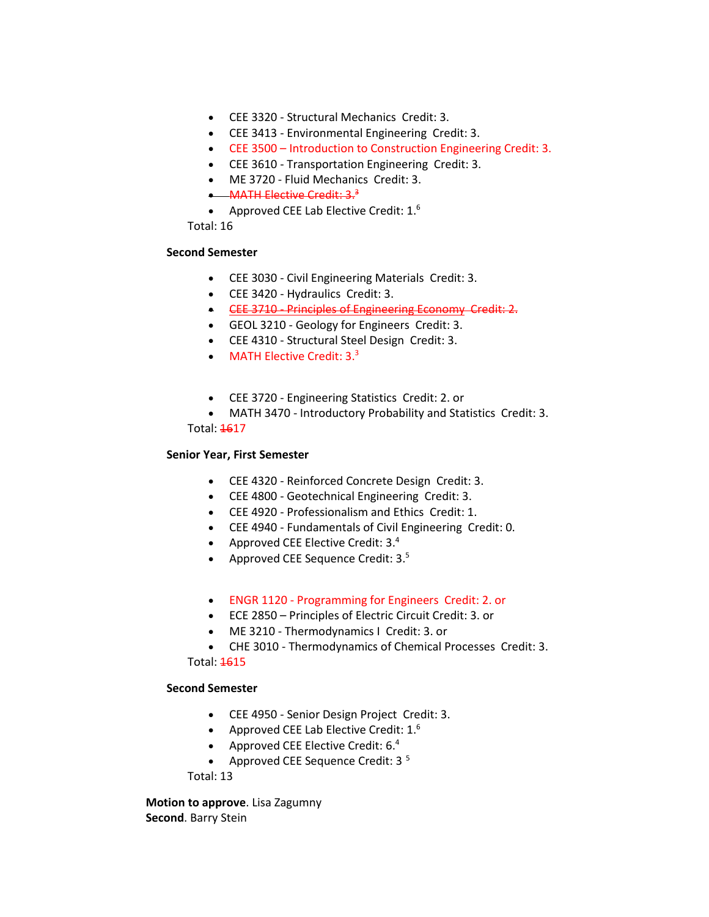- CEE 3320 Structural Mechanics Credit: 3.
- CEE 3413 Environmental Engineering Credit: 3.
- CEE 3500 Introduction to Construction Engineering Credit: 3.
- CEE 3610 Transportation Engineering Credit: 3.
- ME 3720 Fluid Mechanics Credit: 3.
- MATH Elective Credit:  $3<sup>3</sup>$
- Approved CEE Lab Elective Credit:  $1<sup>6</sup>$

Total: 16

### **Second Semester**

- CEE 3030 Civil Engineering Materials Credit: 3.
- CEE 3420 Hydraulics Credit: 3.
- CEE 3710 [Principles of Engineering Economy](http://catalog.tntech.edu/preview_program.php?catoid=27&poid=3241&returnto=5394) Credit: 2.
- GEOL 3210 Geology for Engineers Credit: 3.
- CEE 4310 Structural Steel Design Credit: 3.
- MATH Elective Credit: 3.<sup>3</sup>
- CEE 3720 Engineering Statistics Credit: 2. or
- MATH 3470 Introductory Probability and Statistics Credit: 3.

Total: 1617

## **Senior Year, First Semester**

- CEE 4320 Reinforced Concrete Design Credit: 3.
- CEE 4800 Geotechnical Engineering Credit: 3.
- CEE 4920 Professionalism and Ethics Credit: 1.
- CEE 4940 Fundamentals of Civil Engineering Credit: 0.
- Approved CEE Elective Credit:  $3.4$
- Approved CEE Sequence Credit:  $3.5$
- ENGR 1120 [Programming for Engineers](http://catalog.tntech.edu/preview_program.php?catoid=27&poid=3241&returnto=5394) Credit: 2. or
- ECE 2850 Principles of Electric Circuit Credit: 3. or
- ME 3210 Thermodynamics I Credit: 3. or
- CHE 3010 Thermodynamics of Chemical Processes Credit: 3.

Total: 1615

# **Second Semester**

- CEE 4950 Senior Design Project Credit: 3.
- Approved CEE Lab Elective Credit:  $1<sup>6</sup>$
- Approved CEE Elective Credit: 6.4
- Approved CEE Sequence Credit:  $3<sup>5</sup>$

Total: 13

**Motion to approve**. Lisa Zagumny **Second**. Barry Stein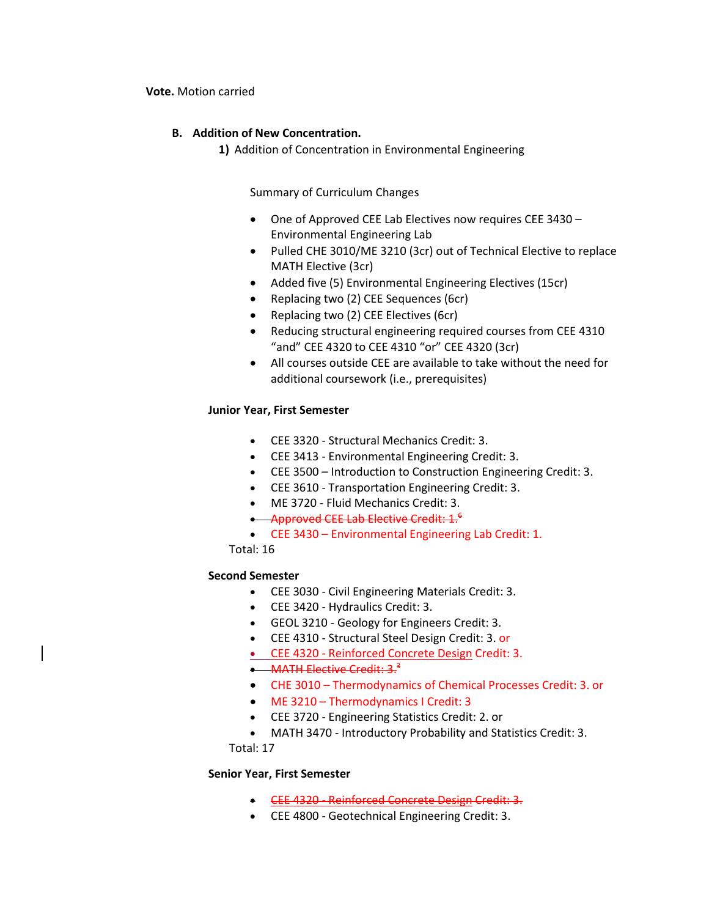#### **Vote.** Motion carried

## **B. Addition of New Concentration.**

**1)** Addition of Concentration in Environmental Engineering

Summary of Curriculum Changes

- One of Approved CEE Lab Electives now requires CEE 3430 Environmental Engineering Lab
- Pulled CHE 3010/ME 3210 (3cr) out of Technical Elective to replace MATH Elective (3cr)
- Added five (5) Environmental Engineering Electives (15cr)
- Replacing two (2) CEE Sequences (6cr)
- Replacing two (2) CEE Electives (6cr)
- Reducing structural engineering required courses from CEE 4310 "and" CEE 4320 to CEE 4310 "or" CEE 4320 (3cr)
- All courses outside CEE are available to take without the need for additional coursework (i.e., prerequisites)

### **Junior Year, First Semester**

- CEE 3320 Structural Mechanics Credit: 3.
- CEE 3413 Environmental Engineering Credit: 3.
- CEE 3500 Introduction to Construction Engineering Credit: 3.
- CEE 3610 Transportation Engineering Credit: 3.
- ME 3720 Fluid Mechanics Credit: 3.
- Approved CEE Lab Elective Credit:  $1.6$
- CEE 3430 Environmental Engineering Lab Credit: 1.

Total: 16

# **Second Semester**

- CEE 3030 Civil Engineering Materials Credit: 3.
- CEE 3420 Hydraulics Credit: 3.
- GEOL 3210 Geology for Engineers Credit: 3.
- CEE 4310 Structural Steel Design Credit: 3. or
- CEE 4320 [Reinforced Concrete Design](http://catalog.tntech.edu/preview_program.php?catoid=27&poid=3241&returnto=5394) Credit: 3.

# • MATH Elective Credit:  $3.3$

- CHE 3010 Thermodynamics of Chemical Processes Credit: 3. or
- ME 3210 Thermodynamics I Credit: 3
- CEE 3720 Engineering Statistics Credit: 2. or
- MATH 3470 Introductory Probability and Statistics Credit: 3.

Total: 17

# **Senior Year, First Semester**

- CEE 4320 [Reinforced Concrete Design](http://catalog.tntech.edu/preview_program.php?catoid=27&poid=3241&returnto=5394) Credit: 3.
- CEE 4800 Geotechnical Engineering Credit: 3.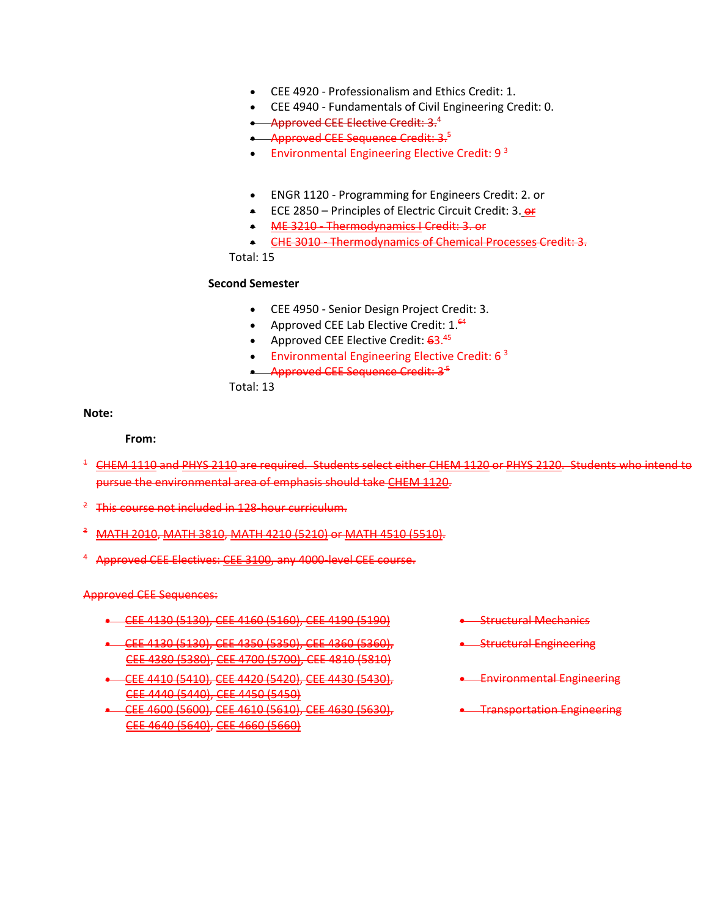- CEE 4920 Professionalism and Ethics Credit: 1.
- CEE 4940 Fundamentals of Civil Engineering Credit: 0.
- Approved CEE Elective Credit: 3.<sup>4</sup>
- **Approved CEE Sequence Credit: 3.5**
- **•** Environmental Engineering Elective Credit:  $9<sup>3</sup>$
- ENGR 1120 Programming for Engineers Credit: 2. or
- ECE 2850 Principles of Electric Circuit Credit: 3. or
- ME 3210 [Thermodynamics I](http://catalog.tntech.edu/preview_program.php?catoid=27&poid=3241&returnto=5394) Credit: 3. or
- CHE 3010 [Thermodynamics of Chemical Processes](http://catalog.tntech.edu/preview_program.php?catoid=27&poid=3241&returnto=5394) Credit: 3.

Total: 15

### **Second Semester**

- CEE 4950 Senior Design Project Credit: 3.
- Approved CEE Lab Elective Credit:  $1.^{64}$
- Approved CEE Elective Credit:  $63.^{45}$
- **•** Environmental Engineering Elective Credit:  $6<sup>3</sup>$
- Approved CEE Sequence Credit: 3<sup>5</sup>

Total: 13

**Note:**

#### **From:**

- <sup>1</sup> [CHEM 1110](http://catalog.tntech.edu/preview_program.php?catoid=27&poid=3241&returnto=5394#tt2483) and [PHYS 2110](http://catalog.tntech.edu/preview_program.php?catoid=27&poid=3241&returnto=5394#tt4009) are required. Students select eithe[r CHEM 1120](http://catalog.tntech.edu/preview_program.php?catoid=27&poid=3241&returnto=5394#tt3466) o[r PHYS 2120.](http://catalog.tntech.edu/preview_program.php?catoid=27&poid=3241&returnto=5394#tt770) Students who intend to pursue the environmental area of emphasis should take [CHEM 1120.](http://catalog.tntech.edu/preview_program.php?catoid=27&poid=3241&returnto=5394#tt992)
- <sup>2</sup> This course not included in 128-hour curriculum.
- [MATH 2010,](http://catalog.tntech.edu/preview_program.php?catoid=27&poid=3241&returnto=5394#tt4768) [MATH 3810,](http://catalog.tntech.edu/preview_program.php?catoid=27&poid=3241&returnto=5394#tt6690) [MATH 4210 \(5210\)](http://catalog.tntech.edu/preview_program.php?catoid=27&poid=3241&returnto=5394#tt551) or [MATH 4510 \(5510\).](http://catalog.tntech.edu/preview_program.php?catoid=27&poid=3241&returnto=5394#tt925)
- <sup>4</sup> Approved CEE Electives: [CEE 3100,](http://catalog.tntech.edu/preview_program.php?catoid=27&poid=3241&returnto=5394#tt4826) any 4000-level CEE course.

Approved CEE Sequences:

- CEE 4130 [\(5130\),](http://catalog.tntech.edu/preview_program.php?catoid=27&poid=3241&returnto=5394#tt2330) CEE 4160 [\(5160\),](http://catalog.tntech.edu/preview_program.php?catoid=27&poid=3241&returnto=5394#tt8537) CEE 4190 [\(5190\)](http://catalog.tntech.edu/preview_program.php?catoid=27&poid=3241&returnto=5394#tt3509) Structural Mechanics
- CEE 4130 [\(5130\),](http://catalog.tntech.edu/preview_program.php?catoid=27&poid=3241&returnto=5394#tt9321) CEE 4350 [\(5350\),](http://catalog.tntech.edu/preview_program.php?catoid=27&poid=3241&returnto=5394#tt8836) CEE 4360 [\(5360\),](http://catalog.tntech.edu/preview_program.php?catoid=27&poid=3241&returnto=5394#tt9092) CEE 4380 [\(5380\),](http://catalog.tntech.edu/preview_program.php?catoid=27&poid=3241&returnto=5394#tt1215) CEE 4700 [\(5700\),](http://catalog.tntech.edu/preview_program.php?catoid=27&poid=3241&returnto=5394#tt2182) CEE 4810 (5810)
- CEE 4410 [\(5410\),](http://catalog.tntech.edu/preview_program.php?catoid=27&poid=3241&returnto=5394#tt5499) CEE 4420 [\(5420\),](http://catalog.tntech.edu/preview_program.php?catoid=27&poid=3241&returnto=5394#tt3286) CEE 4430 [\(5430\),](http://catalog.tntech.edu/preview_program.php?catoid=27&poid=3241&returnto=5394#tt7206) CEE 4440 [\(5440\),](http://catalog.tntech.edu/preview_program.php?catoid=27&poid=3241&returnto=5394#tt6000) CEE 4450 [\(5450\)](http://catalog.tntech.edu/preview_program.php?catoid=27&poid=3241&returnto=5394#tt1752)
- CEE 4600 [\(5600\),](http://catalog.tntech.edu/preview_program.php?catoid=27&poid=3241&returnto=5394#tt8397) CEE 4610 [\(5610\),](http://catalog.tntech.edu/preview_program.php?catoid=27&poid=3241&returnto=5394#tt5646) CEE 4630 [\(5630\),](http://catalog.tntech.edu/preview_program.php?catoid=27&poid=3241&returnto=5394#tt4613) CEE 4640 [\(5640\),](http://catalog.tntech.edu/preview_program.php?catoid=27&poid=3241&returnto=5394#tt24) CEE 4660 [\(5660\)](http://catalog.tntech.edu/preview_program.php?catoid=27&poid=3241&returnto=5394#tt5867)
- 
- **•** Structural Engineering
- Environmental Engineering
- **•** Transportation Engineering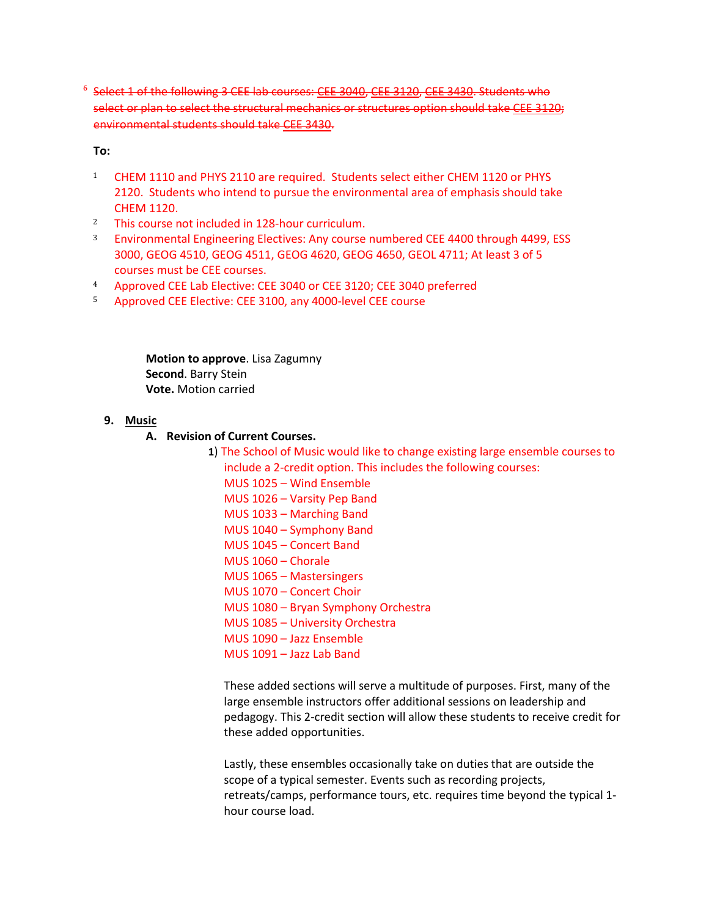<sup>6</sup> Select 1 of the following 3 CEE lab courses: CEE [3040,](http://catalog.tntech.edu/preview_program.php?catoid=27&poid=3241&returnto=5394#tt1428) CEE [3120,](http://catalog.tntech.edu/preview_program.php?catoid=27&poid=3241&returnto=5394#tt61) CEE [3430.](http://catalog.tntech.edu/preview_program.php?catoid=27&poid=3241&returnto=5394#tt4339) Students who select or plan to select the structural mechanics or structures option should take CEE [3120;](http://catalog.tntech.edu/preview_program.php?catoid=27&poid=3241&returnto=5394#tt5450) environmental students should take CEE [3430.](http://catalog.tntech.edu/preview_program.php?catoid=27&poid=3241&returnto=5394#tt1772)

**To:**

- <sup>1</sup> CHEM 1110 and PHYS 2110 are required. Students select either CHEM 1120 or PHYS 2120. Students who intend to pursue the environmental area of emphasis should take CHEM 1120.
- <sup>2</sup> This course not included in 128-hour curriculum.
- <sup>3</sup> Environmental Engineering Electives: Any course numbered CEE 4400 through 4499, ESS 3000, GEOG 4510, GEOG 4511, GEOG 4620, GEOG 4650, GEOL 4711; At least 3 of 5 courses must be CEE courses.
- <sup>4</sup> Approved CEE Lab Elective: CEE 3040 or CEE 3120; CEE 3040 preferred
- <sup>5</sup> Approved CEE Elective: CEE 3100, any 4000-level CEE course

**Motion to approve**. Lisa Zagumny **Second**. Barry Stein **Vote.** Motion carried

### **9. Music**

# **A. Revision of Current Courses.**

**1**) The School of Music would like to change existing large ensemble courses to include a 2-credit option. This includes the following courses: MUS 1025 – Wind Ensemble MUS 1026 – Varsity Pep Band MUS 1033 – Marching Band MUS 1040 – Symphony Band MUS 1045 – Concert Band MUS 1060 – Chorale MUS 1065 – Mastersingers MUS 1070 – Concert Choir MUS 1080 – Bryan Symphony Orchestra MUS 1085 – University Orchestra MUS 1090 – Jazz Ensemble MUS 1091 – Jazz Lab Band

These added sections will serve a multitude of purposes. First, many of the large ensemble instructors offer additional sessions on leadership and pedagogy. This 2-credit section will allow these students to receive credit for these added opportunities.

Lastly, these ensembles occasionally take on duties that are outside the scope of a typical semester. Events such as recording projects, retreats/camps, performance tours, etc. requires time beyond the typical 1 hour course load.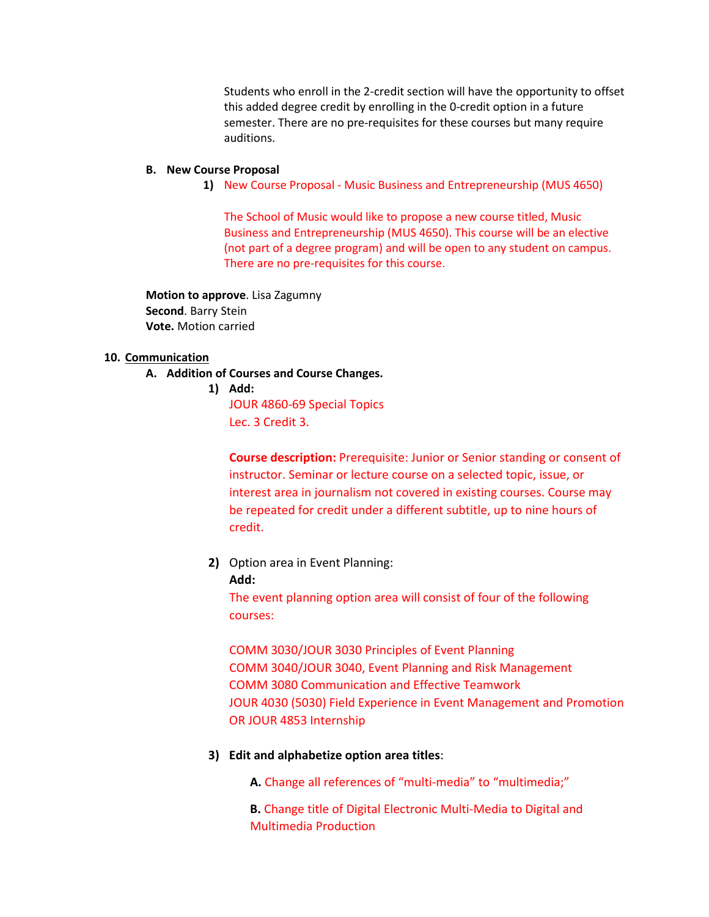Students who enroll in the 2-credit section will have the opportunity to offset this added degree credit by enrolling in the 0-credit option in a future semester. There are no pre-requisites for these courses but many require auditions.

#### **B. New Course Proposal**

**1)** New Course Proposal - Music Business and Entrepreneurship (MUS 4650)

The School of Music would like to propose a new course titled, Music Business and Entrepreneurship (MUS 4650). This course will be an elective (not part of a degree program) and will be open to any student on campus. There are no pre-requisites for this course.

**Motion to approve**. Lisa Zagumny **Second**. Barry Stein **Vote.** Motion carried

#### **10. Communication**

- **A. Addition of Courses and Course Changes.** 
	- **1) Add:**

JOUR 4860-69 Special Topics Lec. 3 Credit 3.

**Course description:** Prerequisite: Junior or Senior standing or consent of instructor. Seminar or lecture course on a selected topic, issue, or interest area in journalism not covered in existing courses. Course may be repeated for credit under a different subtitle, up to nine hours of credit.

**2)** Option area in Event Planning:

#### **Add:**

The event planning option area will consist of four of the following courses:

COMM 3030/JOUR 3030 Principles of Event Planning COMM 3040/JOUR 3040, Event Planning and Risk Management COMM 3080 Communication and Effective Teamwork JOUR 4030 (5030) Field Experience in Event Management and Promotion OR JOUR 4853 Internship

**3) Edit and alphabetize option area titles**:

**A.** Change all references of "multi-media" to "multimedia;"

**B.** Change title of Digital Electronic Multi-Media to Digital and Multimedia Production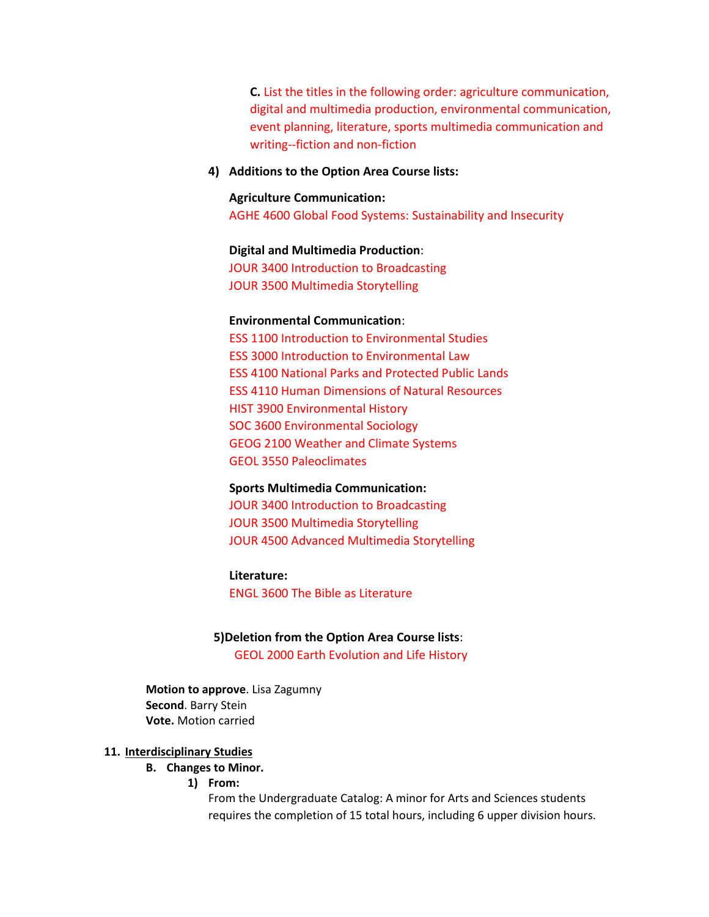**C.** List the titles in the following order: agriculture communication, digital and multimedia production, environmental communication, event planning, literature, sports multimedia communication and writing--fiction and non-fiction

**4) Additions to the Option Area Course lists:**

#### **Agriculture Communication:**

AGHE 4600 Global Food Systems: Sustainability and Insecurity

#### **Digital and Multimedia Production**:

JOUR 3400 Introduction to Broadcasting JOUR 3500 Multimedia Storytelling

#### **Environmental Communication**:

ESS 1100 Introduction to Environmental Studies ESS 3000 Introduction to Environmental Law ESS 4100 National Parks and Protected Public Lands ESS 4110 Human Dimensions of Natural Resources HIST 3900 Environmental History SOC 3600 Environmental Sociology GEOG 2100 Weather and Climate Systems GEOL 3550 Paleoclimates

#### **Sports Multimedia Communication:**

JOUR 3400 Introduction to Broadcasting JOUR 3500 Multimedia Storytelling JOUR 4500 Advanced Multimedia Storytelling

#### **Literature:**

ENGL 3600 The Bible as Literature

# **5)Deletion from the Option Area Course lists**: GEOL 2000 Earth Evolution and Life History

**Motion to approve**. Lisa Zagumny **Second**. Barry Stein **Vote.** Motion carried

### **11. Interdisciplinary Studies**

### **B. Changes to Minor.**

**1) From:**

From the Undergraduate Catalog: A minor for Arts and Sciences students requires the completion of 15 total hours, including 6 upper division hours.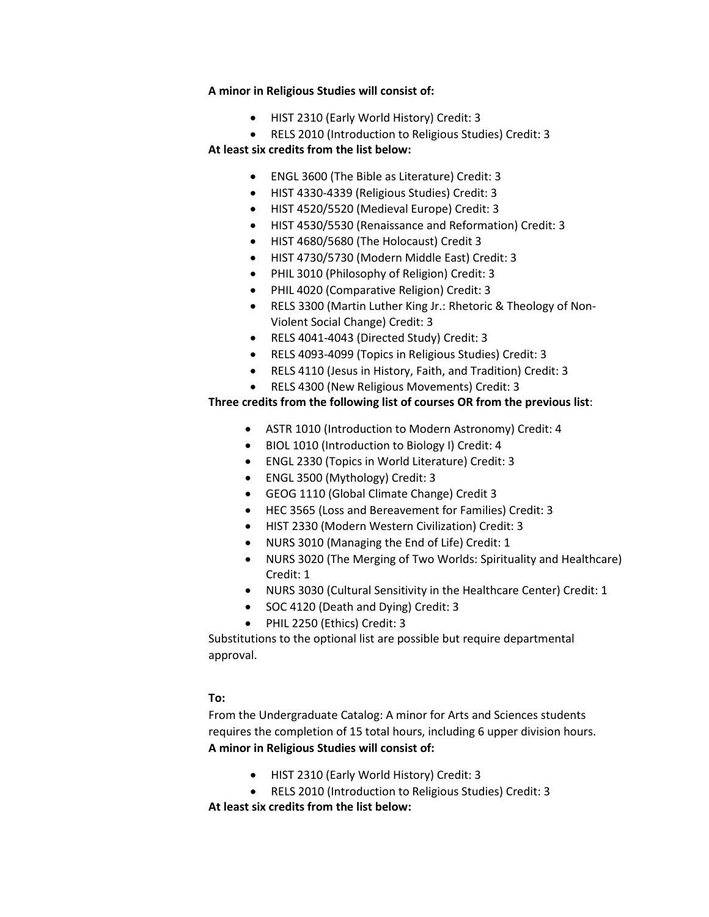### **A minor in Religious Studies will consist of:**

- HIST 2310 (Early World History) Credit: 3
- RELS 2010 (Introduction to Religious Studies) Credit: 3

# **At least six credits from the list below:**

- ENGL 3600 (The Bible as Literature) Credit: 3
- HIST 4330-4339 (Religious Studies) Credit: 3
- HIST 4520/5520 (Medieval Europe) Credit: 3
- HIST 4530/5530 (Renaissance and Reformation) Credit: 3
- HIST 4680/5680 (The Holocaust) Credit 3
- HIST 4730/5730 (Modern Middle East) Credit: 3
- PHIL 3010 (Philosophy of Religion) Credit: 3
- PHIL 4020 (Comparative Religion) Credit: 3
- RELS 3300 (Martin Luther King Jr.: Rhetoric & Theology of Non-Violent Social Change) Credit: 3
- RELS 4041-4043 (Directed Study) Credit: 3
- RELS 4093-4099 (Topics in Religious Studies) Credit: 3
- RELS 4110 (Jesus in History, Faith, and Tradition) Credit: 3
- RELS 4300 (New Religious Movements) Credit: 3

# **Three credits from the following list of courses OR from the previous list**:

- ASTR 1010 (Introduction to Modern Astronomy) Credit: 4
- BIOL 1010 (Introduction to Biology I) Credit: 4
- ENGL 2330 (Topics in World Literature) Credit: 3
- ENGL 3500 (Mythology) Credit: 3
- GEOG 1110 (Global Climate Change) Credit 3
- HEC 3565 (Loss and Bereavement for Families) Credit: 3
- HIST 2330 (Modern Western Civilization) Credit: 3
- NURS 3010 (Managing the End of Life) Credit: 1
- NURS 3020 (The Merging of Two Worlds: Spirituality and Healthcare) Credit: 1
- NURS 3030 (Cultural Sensitivity in the Healthcare Center) Credit: 1
- SOC 4120 (Death and Dying) Credit: 3
- PHIL 2250 (Ethics) Credit: 3

Substitutions to the optional list are possible but require departmental approval.

# **To:**

From the Undergraduate Catalog: A minor for Arts and Sciences students requires the completion of 15 total hours, including 6 upper division hours. **A minor in Religious Studies will consist of:**

- HIST 2310 (Early World History) Credit: 3
- RELS 2010 (Introduction to Religious Studies) Credit: 3

**At least six credits from the list below:**